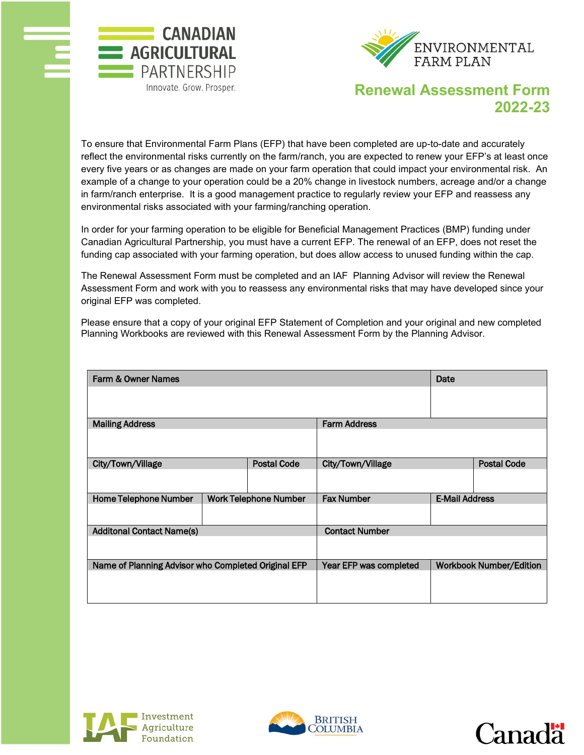



## **Renewal Assessment Form 2022-23**

To ensure that Environmental Farm Plans (EFP) that have been completed are up-to-date and accurately reflect the environmental risks currently on the farm/ranch, you are expected to renew your EFP's at least once every five years or as changes are made on your farm operation that could impact your environmental risk. An example of a change to your operation could be a 20% change in livestock numbers, acreage and/or a change in farm/ranch enterprise. It is a good management practice to regularly review your EFP and reassess any environmental risks associated with your farming/ranching operation.

In order for your farming operation to be eligible for Beneficial Management Practices (BMP) funding under Canadian Agricultural Partnership, you must have a current EFP. The renewal of an EFP, does not reset the funding cap associated with your farming operation, but does allow access to unused funding within the cap.

The Renewal Assessment Form must be completed and an IAF Planning Advisor will review the Renewal Assessment Form and work with you to reassess any environmental risks that may have developed since your original EFP was completed.

Please ensure that a copy of your original EFP Statement of Completion and your original and new completed Planning Workbooks are reviewed with this Renewal Assessment Form by the Planning Advisor.

| Farm & Owner Names                                  |  |                              |                        | Date                  |                                |
|-----------------------------------------------------|--|------------------------------|------------------------|-----------------------|--------------------------------|
|                                                     |  |                              |                        |                       |                                |
| <b>Mailing Address</b>                              |  |                              | <b>Farm Address</b>    |                       |                                |
|                                                     |  |                              |                        |                       |                                |
| City/Town/Village                                   |  | <b>Postal Code</b>           | City/Town/Village      |                       | <b>Postal Code</b>             |
|                                                     |  |                              |                        |                       |                                |
| <b>Home Telephone Number</b>                        |  | <b>Work Telephone Number</b> | <b>Fax Number</b>      | <b>E-Mail Address</b> |                                |
|                                                     |  |                              |                        |                       |                                |
| <b>Additonal Contact Name(s)</b>                    |  |                              | <b>Contact Number</b>  |                       |                                |
|                                                     |  |                              |                        |                       |                                |
| Name of Planning Advisor who Completed Original EFP |  |                              | Year EFP was completed |                       | <b>Workbook Number/Edition</b> |
|                                                     |  |                              |                        |                       |                                |





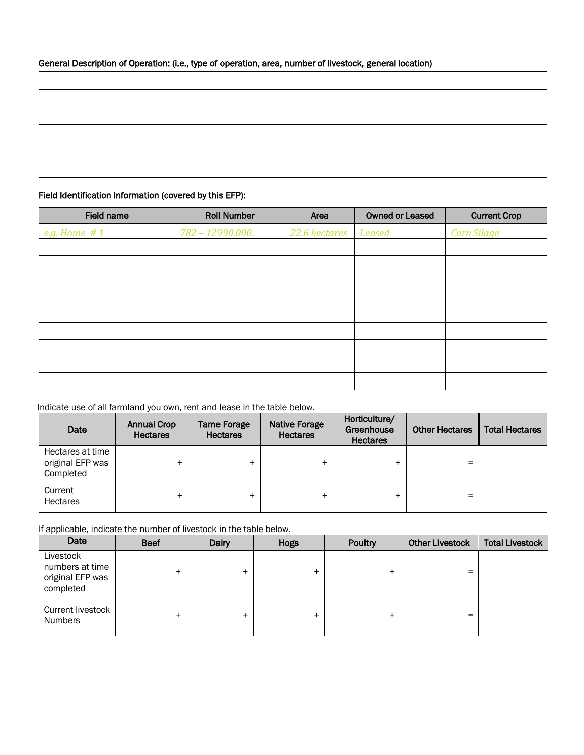| General Description of Operation: (i.e., type of operation, area, number of livestock, general location) |  |  |  |  |  |
|----------------------------------------------------------------------------------------------------------|--|--|--|--|--|
|                                                                                                          |  |  |  |  |  |

## Field Identification Information (covered by this EFP):

| Field name   | <b>Roll Number</b> | Area          | <b>Owned or Leased</b> | <b>Current Crop</b> |
|--------------|--------------------|---------------|------------------------|---------------------|
| e.g. Home #1 | 782 - 12990.000.   | 22.6 hectares | <b>Leased</b>          | <b>Corn Silage</b>  |
|              |                    |               |                        |                     |
|              |                    |               |                        |                     |
|              |                    |               |                        |                     |
|              |                    |               |                        |                     |
|              |                    |               |                        |                     |
|              |                    |               |                        |                     |
|              |                    |               |                        |                     |
|              |                    |               |                        |                     |
|              |                    |               |                        |                     |

## Indicate use of all farmland you own, rent and lease in the table below.

| Date                                              | <b>Annual Crop</b><br><b>Hectares</b> | <b>Tame Forage</b><br><b>Hectares</b> | <b>Native Forage</b><br><b>Hectares</b> | Horticulture/<br>Greenhouse<br><b>Hectares</b> | <b>Other Hectares</b> | <b>Total Hectares</b> |
|---------------------------------------------------|---------------------------------------|---------------------------------------|-----------------------------------------|------------------------------------------------|-----------------------|-----------------------|
| Hectares at time<br>original EFP was<br>Completed |                                       |                                       | +                                       |                                                | =                     |                       |
| Current<br><b>Hectares</b>                        |                                       |                                       | $\ddot{}$                               |                                                | =                     |                       |

If applicable, indicate the number of livestock in the table below.

| Date                                                          | <b>Beef</b> | Dairy | <b>Hogs</b> | Poultry | <b>Other Livestock</b> | <b>Total Livestock</b> |
|---------------------------------------------------------------|-------------|-------|-------------|---------|------------------------|------------------------|
| Livestock<br>numbers at time<br>original EFP was<br>completed |             | $+$   |             | ÷.      | =                      |                        |
| Current livestock<br><b>Numbers</b>                           | +           | $\pm$ |             | +       | =                      |                        |